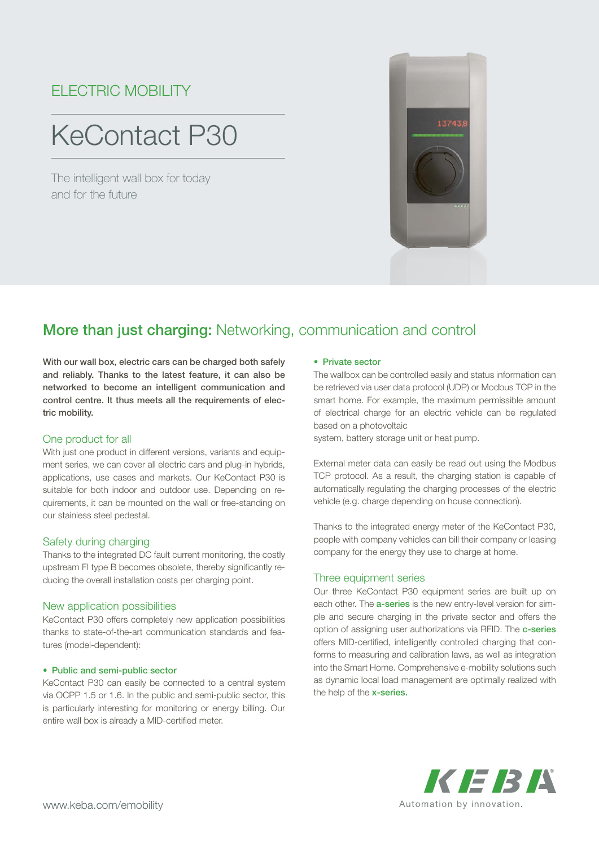## ELECTRIC MOBILITY

# KeContact P30

The intelligent wall box for today and for the future



### More than just charging: Networking, communication and control

With our wall box, electric cars can be charged both safely and reliably. Thanks to the latest feature, it can also be networked to become an intelligent communication and control centre. It thus meets all the requirements of electric mobility.

#### One product for all

With just one product in different versions, variants and equipment series, we can cover all electric cars and plug-in hybrids, applications, use cases and markets. Our KeContact P30 is suitable for both indoor and outdoor use. Depending on requirements, it can be mounted on the wall or free-standing on our stainless steel pedestal.

#### Safety during charging

Thanks to the integrated DC fault current monitoring, the costly upstream FI type B becomes obsolete, thereby significantly reducing the overall installation costs per charging point.

#### New application possibilities

KeContact P30 offers completely new application possibilities thanks to state-of-the-art communication standards and features (model-dependent):

#### • Public and semi-public sector

KeContact P30 can easily be connected to a central system via OCPP 1.5 or 1.6. In the public and semi-public sector, this is particularly interesting for monitoring or energy billing. Our entire wall box is already a MID-certified meter.

#### • Private sector

The wallbox can be controlled easily and status information can be retrieved via user data protocol (UDP) or Modbus TCP in the smart home. For example, the maximum permissible amount of electrical charge for an electric vehicle can be regulated based on a photovoltaic

system, battery storage unit or heat pump.

External meter data can easily be read out using the Modbus TCP protocol. As a result, the charging station is capable of automatically regulating the charging processes of the electric vehicle (e.g. charge depending on house connection).

Thanks to the integrated energy meter of the KeContact P30, people with company vehicles can bill their company or leasing company for the energy they use to charge at home.

#### Three equipment series

Our three KeContact P30 equipment series are built up on each other. The **a-series** is the new entry-level version for simple and secure charging in the private sector and offers the option of assigning user authorizations via RFID. The c-series offers MID-certified, intelligently controlled charging that conforms to measuring and calibration laws, as well as integration into the Smart Home. Comprehensive e-mobility solutions such as dynamic local load management are optimally realized with the help of the **x-series.**